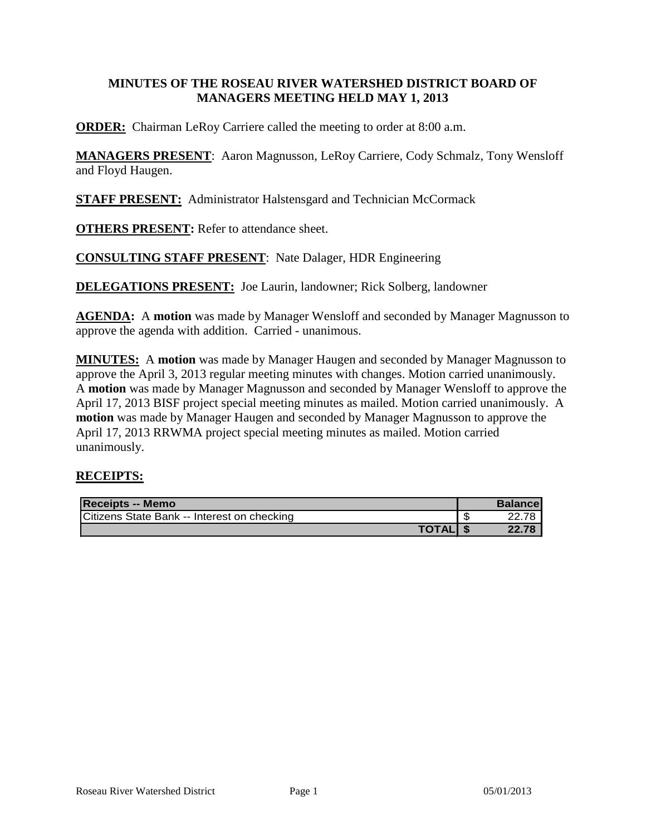#### **MINUTES OF THE ROSEAU RIVER WATERSHED DISTRICT BOARD OF MANAGERS MEETING HELD MAY 1, 2013**

**ORDER:** Chairman LeRoy Carriere called the meeting to order at 8:00 a.m.

**MANAGERS PRESENT**: Aaron Magnusson, LeRoy Carriere, Cody Schmalz, Tony Wensloff and Floyd Haugen.

**STAFF PRESENT:** Administrator Halstensgard and Technician McCormack

**OTHERS PRESENT:** Refer to attendance sheet.

**CONSULTING STAFF PRESENT**: Nate Dalager, HDR Engineering

**DELEGATIONS PRESENT:** Joe Laurin, landowner; Rick Solberg, landowner

**AGENDA:** A **motion** was made by Manager Wensloff and seconded by Manager Magnusson to approve the agenda with addition. Carried - unanimous.

**MINUTES:** A **motion** was made by Manager Haugen and seconded by Manager Magnusson to approve the April 3, 2013 regular meeting minutes with changes. Motion carried unanimously. A **motion** was made by Manager Magnusson and seconded by Manager Wensloff to approve the April 17, 2013 BISF project special meeting minutes as mailed. Motion carried unanimously. A **motion** was made by Manager Haugen and seconded by Manager Magnusson to approve the April 17, 2013 RRWMA project special meeting minutes as mailed. Motion carried unanimously.

## **RECEIPTS:**

| <b>Receipts -- Memo</b>                     | <b>Balancel</b> |
|---------------------------------------------|-----------------|
| Citizens State Bank -- Interest on checking |                 |
| <b>TOTAL</b>                                | 22.78           |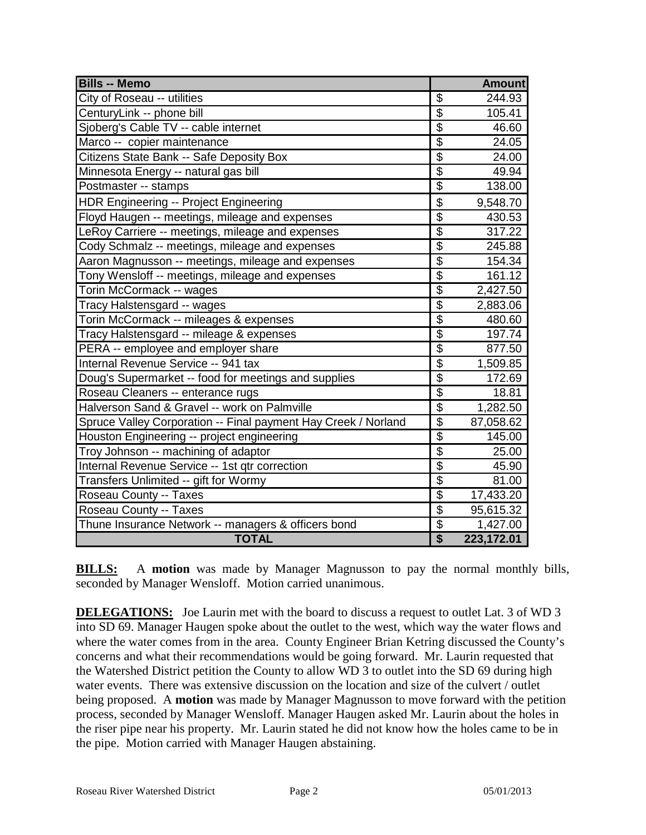| <b>Bills -- Memo</b>                                           |                                      | <b>Amount</b> |
|----------------------------------------------------------------|--------------------------------------|---------------|
| City of Roseau -- utilities                                    | \$                                   | 244.93        |
| CenturyLink -- phone bill                                      | $\overline{\mathbf{S}}$              | 105.41        |
| Sjoberg's Cable TV -- cable internet                           | $\overline{\$}$                      | 46.60         |
| Marco -- copier maintenance                                    | $\overline{\$}$                      | 24.05         |
| Citizens State Bank -- Safe Deposity Box                       | $\overline{\$}$                      | 24.00         |
| Minnesota Energy -- natural gas bill                           | $\overline{\$}$                      | 49.94         |
| Postmaster -- stamps                                           | $\overline{\$}$                      | 138.00        |
| <b>HDR Engineering -- Project Engineering</b>                  | \$                                   | 9,548.70      |
| Floyd Haugen -- meetings, mileage and expenses                 | $\overline{\$}$                      | 430.53        |
| LeRoy Carriere -- meetings, mileage and expenses               | $\overline{\$}$                      | 317.22        |
| Cody Schmalz -- meetings, mileage and expenses                 | $\overline{\$}$                      | 245.88        |
| Aaron Magnusson -- meetings, mileage and expenses              | $\overline{\mathbf{S}}$              | 154.34        |
| Tony Wensloff -- meetings, mileage and expenses                | $\overline{\$}$                      | 161.12        |
| Torin McCormack -- wages                                       | $\overline{\$}$                      | 2,427.50      |
| Tracy Halstensgard -- wages                                    | \$                                   | 2,883.06      |
| Torin McCormack -- mileages & expenses                         | $\overline{\$}$                      | 480.60        |
| Tracy Halstensgard -- mileage & expenses                       | $\overline{\$}$                      | 197.74        |
| PERA -- employee and employer share                            | $\overline{\$}$                      | 877.50        |
| Internal Revenue Service -- 941 tax                            | $\overline{\$}$                      | 1,509.85      |
| Doug's Supermarket -- food for meetings and supplies           | $\overline{\$}$                      | 172.69        |
| Roseau Cleaners -- enterance rugs                              | $\overline{\$}$                      | 18.81         |
| Halverson Sand & Gravel -- work on Palmville                   | $\overline{\mathbf{S}}$              | 1,282.50      |
| Spruce Valley Corporation -- Final payment Hay Creek / Norland | $\overline{\$}$                      | 87,058.62     |
| Houston Engineering -- project engineering                     | $\overline{\$}$                      | 145.00        |
| Troy Johnson -- machining of adaptor                           | $\overline{\$}$                      | 25.00         |
| Internal Revenue Service -- 1st qtr correction                 | $\overline{\$}$                      | 45.90         |
| Transfers Unlimited -- gift for Wormy                          | $\overline{\$}$                      | 81.00         |
| Roseau County -- Taxes                                         | $\overline{\mathbf{S}}$              | 17,433.20     |
| Roseau County -- Taxes                                         | $\overline{\$}$                      | 95,615.32     |
| Thune Insurance Network -- managers & officers bond            | $\overline{\$}$                      | 1,427.00      |
| <b>TOTAL</b>                                                   | $\overline{\boldsymbol{\mathsf{s}}}$ | 223,172.01    |

**BILLS:** A **motion** was made by Manager Magnusson to pay the normal monthly bills, seconded by Manager Wensloff. Motion carried unanimous.

**DELEGATIONS:** Joe Laurin met with the board to discuss a request to outlet Lat. 3 of WD 3 into SD 69. Manager Haugen spoke about the outlet to the west, which way the water flows and where the water comes from in the area. County Engineer Brian Ketring discussed the County's concerns and what their recommendations would be going forward. Mr. Laurin requested that the Watershed District petition the County to allow WD 3 to outlet into the SD 69 during high water events. There was extensive discussion on the location and size of the culvert / outlet being proposed. A **motion** was made by Manager Magnusson to move forward with the petition process, seconded by Manager Wensloff. Manager Haugen asked Mr. Laurin about the holes in the riser pipe near his property. Mr. Laurin stated he did not know how the holes came to be in the pipe. Motion carried with Manager Haugen abstaining.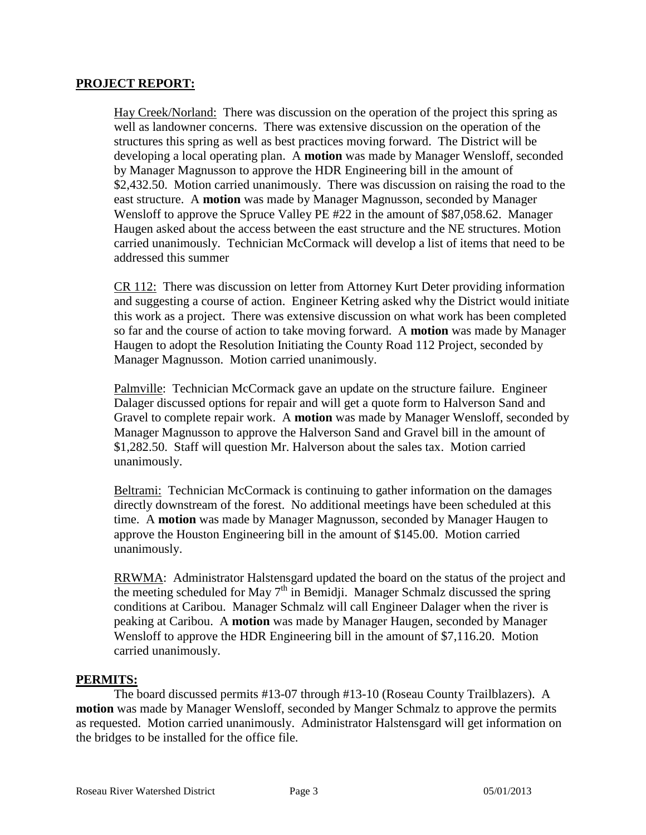#### **PROJECT REPORT:**

Hay Creek/Norland: There was discussion on the operation of the project this spring as well as landowner concerns. There was extensive discussion on the operation of the structures this spring as well as best practices moving forward. The District will be developing a local operating plan. A **motion** was made by Manager Wensloff, seconded by Manager Magnusson to approve the HDR Engineering bill in the amount of \$2,432.50. Motion carried unanimously. There was discussion on raising the road to the east structure. A **motion** was made by Manager Magnusson, seconded by Manager Wensloff to approve the Spruce Valley PE #22 in the amount of \$87,058.62. Manager Haugen asked about the access between the east structure and the NE structures. Motion carried unanimously. Technician McCormack will develop a list of items that need to be addressed this summer

CR 112: There was discussion on letter from Attorney Kurt Deter providing information and suggesting a course of action. Engineer Ketring asked why the District would initiate this work as a project. There was extensive discussion on what work has been completed so far and the course of action to take moving forward. A **motion** was made by Manager Haugen to adopt the Resolution Initiating the County Road 112 Project, seconded by Manager Magnusson. Motion carried unanimously.

Palmville: Technician McCormack gave an update on the structure failure. Engineer Dalager discussed options for repair and will get a quote form to Halverson Sand and Gravel to complete repair work. A **motion** was made by Manager Wensloff, seconded by Manager Magnusson to approve the Halverson Sand and Gravel bill in the amount of \$1,282.50. Staff will question Mr. Halverson about the sales tax. Motion carried unanimously.

Beltrami: Technician McCormack is continuing to gather information on the damages directly downstream of the forest. No additional meetings have been scheduled at this time. A **motion** was made by Manager Magnusson, seconded by Manager Haugen to approve the Houston Engineering bill in the amount of \$145.00. Motion carried unanimously.

RRWMA: Administrator Halstensgard updated the board on the status of the project and the meeting scheduled for May  $7<sup>th</sup>$  in Bemidii. Manager Schmalz discussed the spring conditions at Caribou. Manager Schmalz will call Engineer Dalager when the river is peaking at Caribou. A **motion** was made by Manager Haugen, seconded by Manager Wensloff to approve the HDR Engineering bill in the amount of \$7,116.20. Motion carried unanimously.

#### **PERMITS:**

The board discussed permits #13-07 through #13-10 (Roseau County Trailblazers). A **motion** was made by Manager Wensloff, seconded by Manger Schmalz to approve the permits as requested. Motion carried unanimously. Administrator Halstensgard will get information on the bridges to be installed for the office file.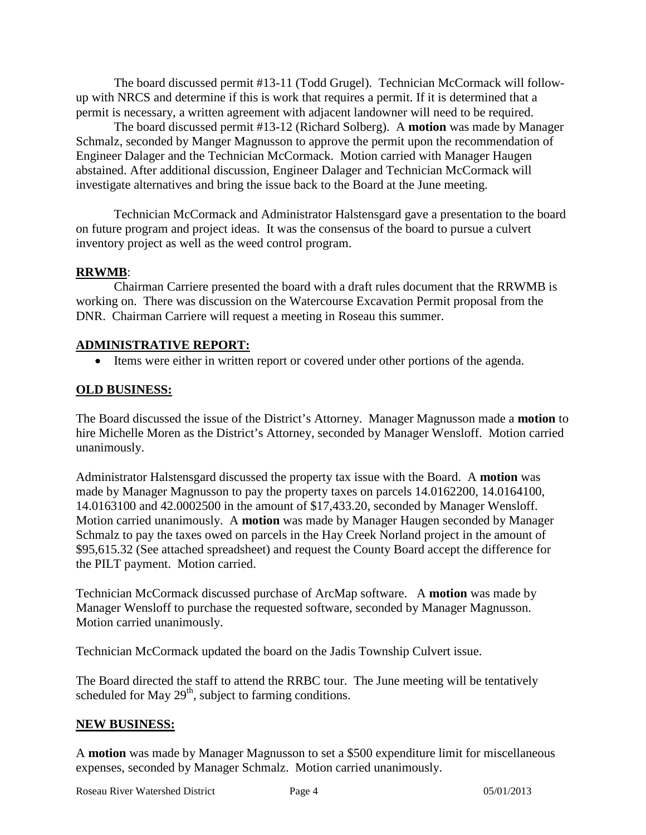The board discussed permit #13-11 (Todd Grugel). Technician McCormack will followup with NRCS and determine if this is work that requires a permit. If it is determined that a permit is necessary, a written agreement with adjacent landowner will need to be required.

The board discussed permit #13-12 (Richard Solberg). A **motion** was made by Manager Schmalz, seconded by Manger Magnusson to approve the permit upon the recommendation of Engineer Dalager and the Technician McCormack. Motion carried with Manager Haugen abstained. After additional discussion, Engineer Dalager and Technician McCormack will investigate alternatives and bring the issue back to the Board at the June meeting.

Technician McCormack and Administrator Halstensgard gave a presentation to the board on future program and project ideas. It was the consensus of the board to pursue a culvert inventory project as well as the weed control program.

## **RRWMB**:

Chairman Carriere presented the board with a draft rules document that the RRWMB is working on. There was discussion on the Watercourse Excavation Permit proposal from the DNR. Chairman Carriere will request a meeting in Roseau this summer.

## **ADMINISTRATIVE REPORT:**

• Items were either in written report or covered under other portions of the agenda.

# **OLD BUSINESS:**

The Board discussed the issue of the District's Attorney. Manager Magnusson made a **motion** to hire Michelle Moren as the District's Attorney, seconded by Manager Wensloff. Motion carried unanimously.

Administrator Halstensgard discussed the property tax issue with the Board. A **motion** was made by Manager Magnusson to pay the property taxes on parcels 14.0162200, 14.0164100, 14.0163100 and 42.0002500 in the amount of \$17,433.20, seconded by Manager Wensloff. Motion carried unanimously. A **motion** was made by Manager Haugen seconded by Manager Schmalz to pay the taxes owed on parcels in the Hay Creek Norland project in the amount of \$95,615.32 (See attached spreadsheet) and request the County Board accept the difference for the PILT payment. Motion carried.

Technician McCormack discussed purchase of ArcMap software. A **motion** was made by Manager Wensloff to purchase the requested software, seconded by Manager Magnusson. Motion carried unanimously.

Technician McCormack updated the board on the Jadis Township Culvert issue.

The Board directed the staff to attend the RRBC tour. The June meeting will be tentatively scheduled for May  $29<sup>th</sup>$ , subject to farming conditions.

## **NEW BUSINESS:**

A **motion** was made by Manager Magnusson to set a \$500 expenditure limit for miscellaneous expenses, seconded by Manager Schmalz. Motion carried unanimously.